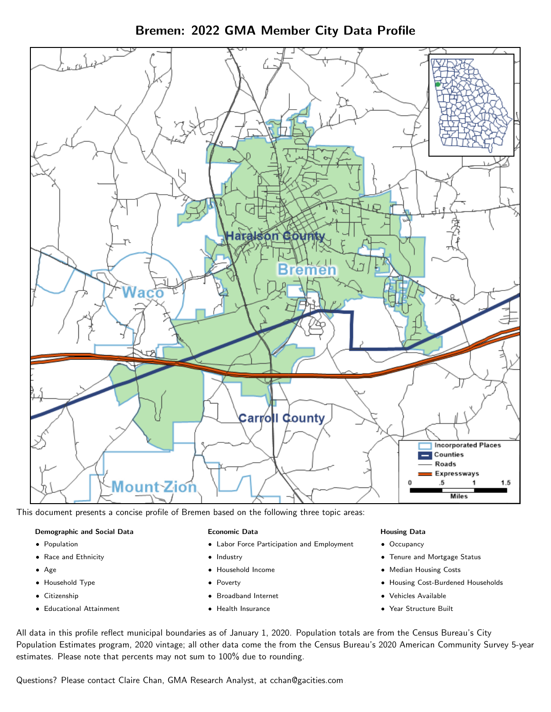Bremen: 2022 GMA Member City Data Profile



This document presents a concise profile of Bremen based on the following three topic areas:

#### Demographic and Social Data

- **•** Population
- Race and Ethnicity
- Age
- Household Type
- **Citizenship**
- Educational Attainment

#### Economic Data

- Labor Force Participation and Employment
- Industry
- Household Income
- Poverty
- Broadband Internet
- Health Insurance

#### Housing Data

- Occupancy
- Tenure and Mortgage Status
- Median Housing Costs
- Housing Cost-Burdened Households
- Vehicles Available
- Year Structure Built

All data in this profile reflect municipal boundaries as of January 1, 2020. Population totals are from the Census Bureau's City Population Estimates program, 2020 vintage; all other data come the from the Census Bureau's 2020 American Community Survey 5-year estimates. Please note that percents may not sum to 100% due to rounding.

Questions? Please contact Claire Chan, GMA Research Analyst, at [cchan@gacities.com.](mailto:cchan@gacities.com)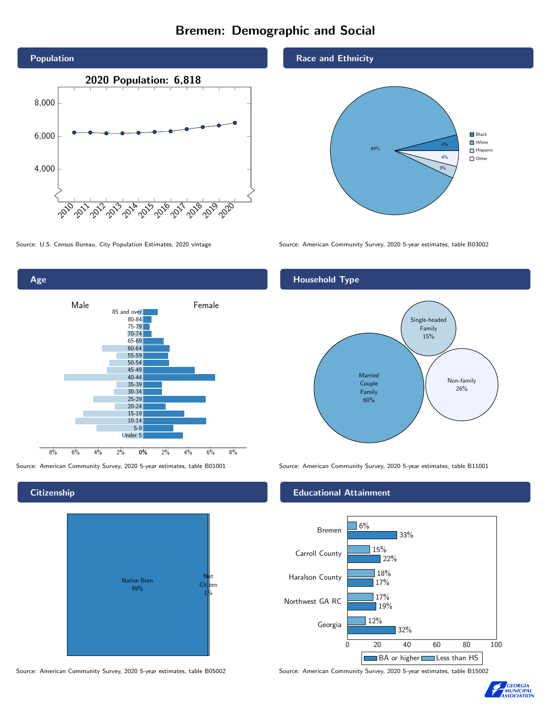# Bremen: Demographic and Social





**Citizenship** 



Source: American Community Survey, 2020 5-year estimates, table B05002 Source: American Community Survey, 2020 5-year estimates, table B15002

Race and Ethnicity



Source: U.S. Census Bureau, City Population Estimates, 2020 vintage Source: American Community Survey, 2020 5-year estimates, table B03002

# Household Type



Source: American Community Survey, 2020 5-year estimates, table B01001 Source: American Community Survey, 2020 5-year estimates, table B11001

## Educational Attainment



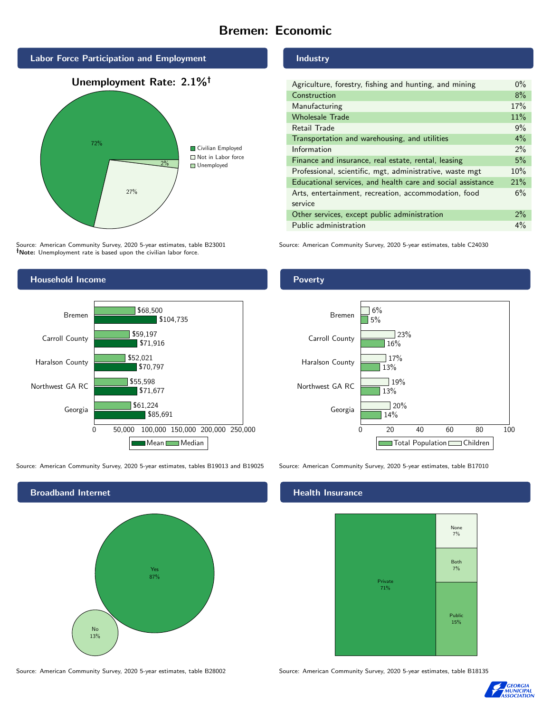# Bremen: Economic



Source: American Community Survey, 2020 5-year estimates, table B23001 Note: Unemployment rate is based upon the civilian labor force.

# Household Income



Source: American Community Survey, 2020 5-year estimates, tables B19013 and B19025 Source: American Community Survey, 2020 5-year estimates, table B17010



Source: American Community Survey, 2020 5-year estimates, table B28002 Source: American Community Survey, 2020 5-year estimates, table B18135

#### Industry

| Agriculture, forestry, fishing and hunting, and mining      | $0\%$ |
|-------------------------------------------------------------|-------|
| Construction                                                | 8%    |
| Manufacturing                                               | 17%   |
| <b>Wholesale Trade</b>                                      | 11%   |
| Retail Trade                                                | 9%    |
| Transportation and warehousing, and utilities               | $4\%$ |
| Information                                                 | 2%    |
| Finance and insurance, real estate, rental, leasing         | 5%    |
| Professional, scientific, mgt, administrative, waste mgt    | 10%   |
| Educational services, and health care and social assistance | 21%   |
| Arts, entertainment, recreation, accommodation, food        | 6%    |
| service                                                     |       |
| Other services, except public administration                | $2\%$ |
| Public administration                                       | $4\%$ |

Source: American Community Survey, 2020 5-year estimates, table C24030

## Poverty



## Health Insurance